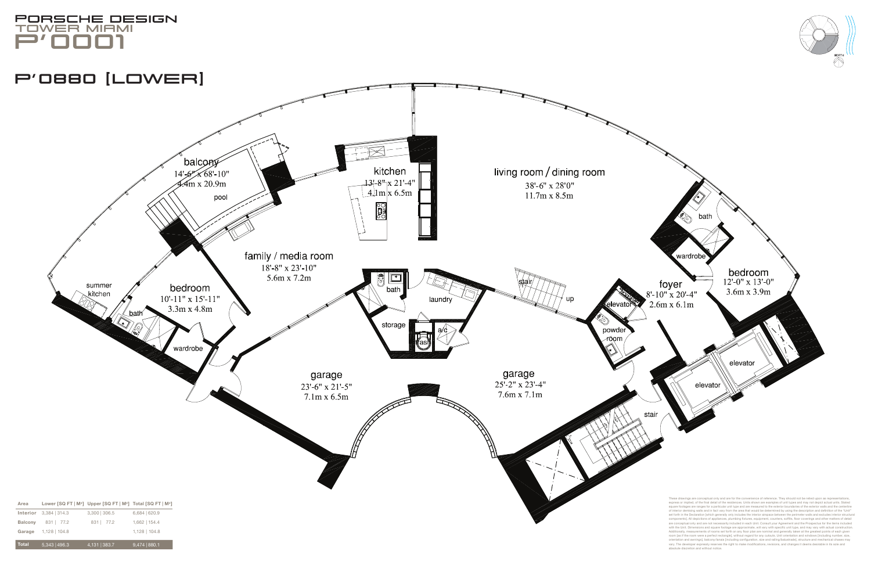

orientation and awnings], balcony/lanais [including configuration, size and railing/balustrade], structure and mechanical chases may vary. The developer expressly reserves the right to make modifications, revisions, and changes it deems desirable in its sole and

absolute discretion and without notice.

| <b>Area</b>    |                               | Lower [SQ FT   M <sup>2</sup> ] Upper [SQ FT   M <sup>2</sup> ] Total [SQ FT   M <sup>2</sup> ] |                 |
|----------------|-------------------------------|-------------------------------------------------------------------------------------------------|-----------------|
|                | <b>Interior</b> 3,384   314.3 | $3,300$   306.5                                                                                 | $6,684$   620.9 |
| <b>Balcony</b> | 831 77.2                      | 831   77.2                                                                                      | $1,662$   154.4 |
|                | Garage 1,128   104.8          |                                                                                                 | $1,128$   104.8 |
| <b>Total</b>   | $5,343$   496.3               | $4,131$ 383.7                                                                                   | $9,474$ 880.1   |





## ß0880 [Lower]